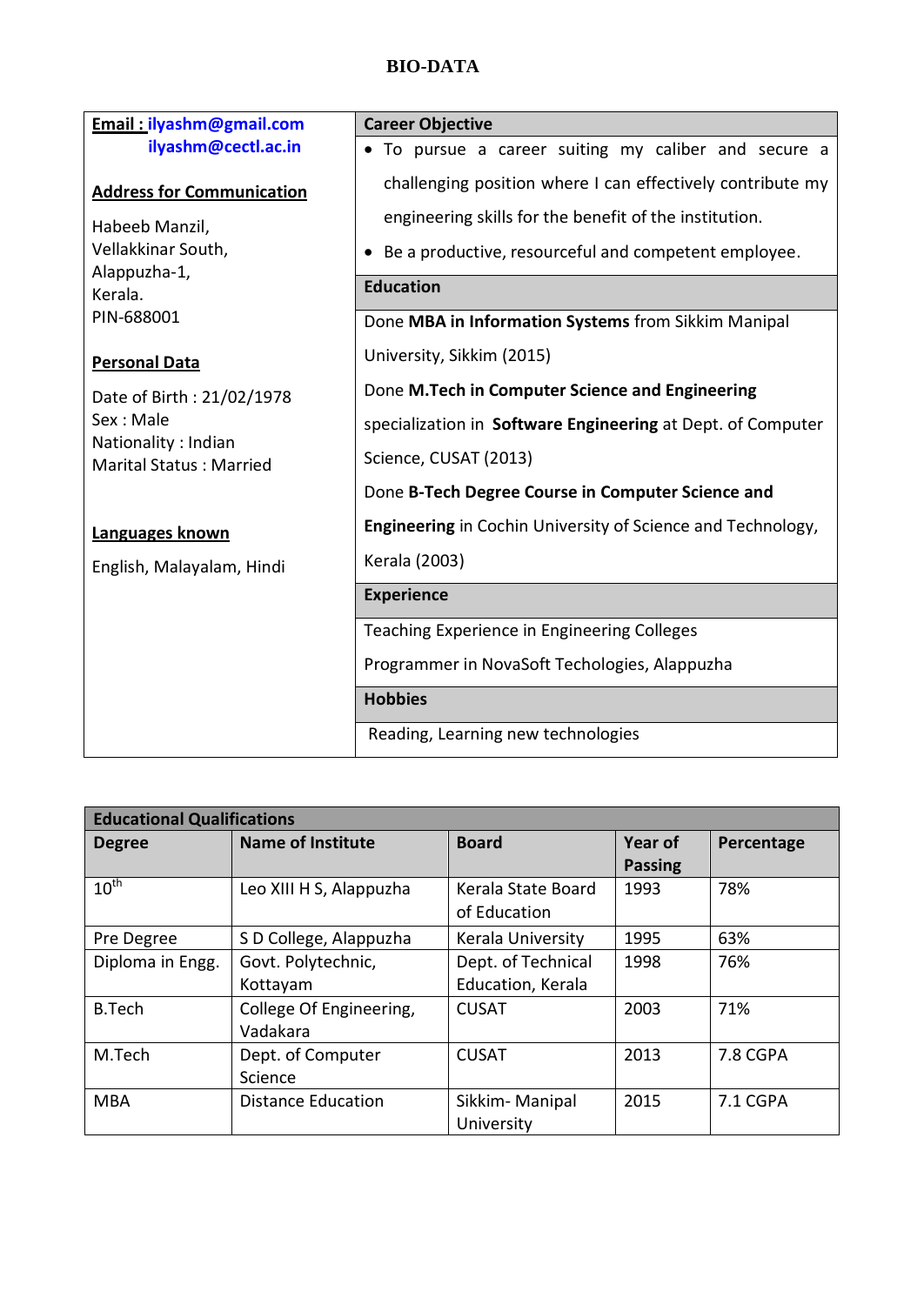## **BIO-DATA**

| <b>Email: ilyashm@gmail.com</b>                       | <b>Career Objective</b>                                     |  |  |
|-------------------------------------------------------|-------------------------------------------------------------|--|--|
| ilyashm@cectl.ac.in                                   | • To pursue a career suiting my caliber and secure a        |  |  |
| <b>Address for Communication</b>                      | challenging position where I can effectively contribute my  |  |  |
| Habeeb Manzil,                                        | engineering skills for the benefit of the institution.      |  |  |
| Vellakkinar South,<br>Alappuzha-1,                    | Be a productive, resourceful and competent employee.        |  |  |
| Kerala.                                               | <b>Education</b>                                            |  |  |
| PIN-688001                                            | Done MBA in Information Systems from Sikkim Manipal         |  |  |
| <b>Personal Data</b>                                  | University, Sikkim (2015)                                   |  |  |
| Date of Birth: 21/02/1978<br>Sex: Male                | Done M.Tech in Computer Science and Engineering             |  |  |
|                                                       | specialization in Software Engineering at Dept. of Computer |  |  |
| Nationality: Indian<br><b>Marital Status: Married</b> | Science, CUSAT (2013)                                       |  |  |
|                                                       | Done B-Tech Degree Course in Computer Science and           |  |  |
| Languages known                                       | Engineering in Cochin University of Science and Technology, |  |  |
| English, Malayalam, Hindi                             | Kerala (2003)                                               |  |  |
|                                                       | <b>Experience</b>                                           |  |  |
|                                                       | Teaching Experience in Engineering Colleges                 |  |  |
|                                                       | Programmer in NovaSoft Techologies, Alappuzha               |  |  |
|                                                       | <b>Hobbies</b>                                              |  |  |
|                                                       | Reading, Learning new technologies                          |  |  |

| <b>Educational Qualifications</b> |                          |                    |                |            |
|-----------------------------------|--------------------------|--------------------|----------------|------------|
| <b>Degree</b>                     | <b>Name of Institute</b> | <b>Board</b>       | <b>Year of</b> | Percentage |
|                                   |                          |                    | <b>Passing</b> |            |
| $10^{th}$                         | Leo XIII H S, Alappuzha  | Kerala State Board | 1993           | 78%        |
|                                   |                          | of Education       |                |            |
| Pre Degree                        | S D College, Alappuzha   | Kerala University  | 1995           | 63%        |
| Diploma in Engg.                  | Govt. Polytechnic,       | Dept. of Technical | 1998           | 76%        |
|                                   | Kottayam                 | Education, Kerala  |                |            |
| <b>B.Tech</b>                     | College Of Engineering,  | <b>CUSAT</b>       | 2003           | 71%        |
|                                   | Vadakara                 |                    |                |            |
| M.Tech                            | Dept. of Computer        | <b>CUSAT</b>       | 2013           | 7.8 CGPA   |
|                                   | Science                  |                    |                |            |
| <b>MBA</b>                        | Distance Education       | Sikkim-Manipal     | 2015           | 7.1 CGPA   |
|                                   |                          | University         |                |            |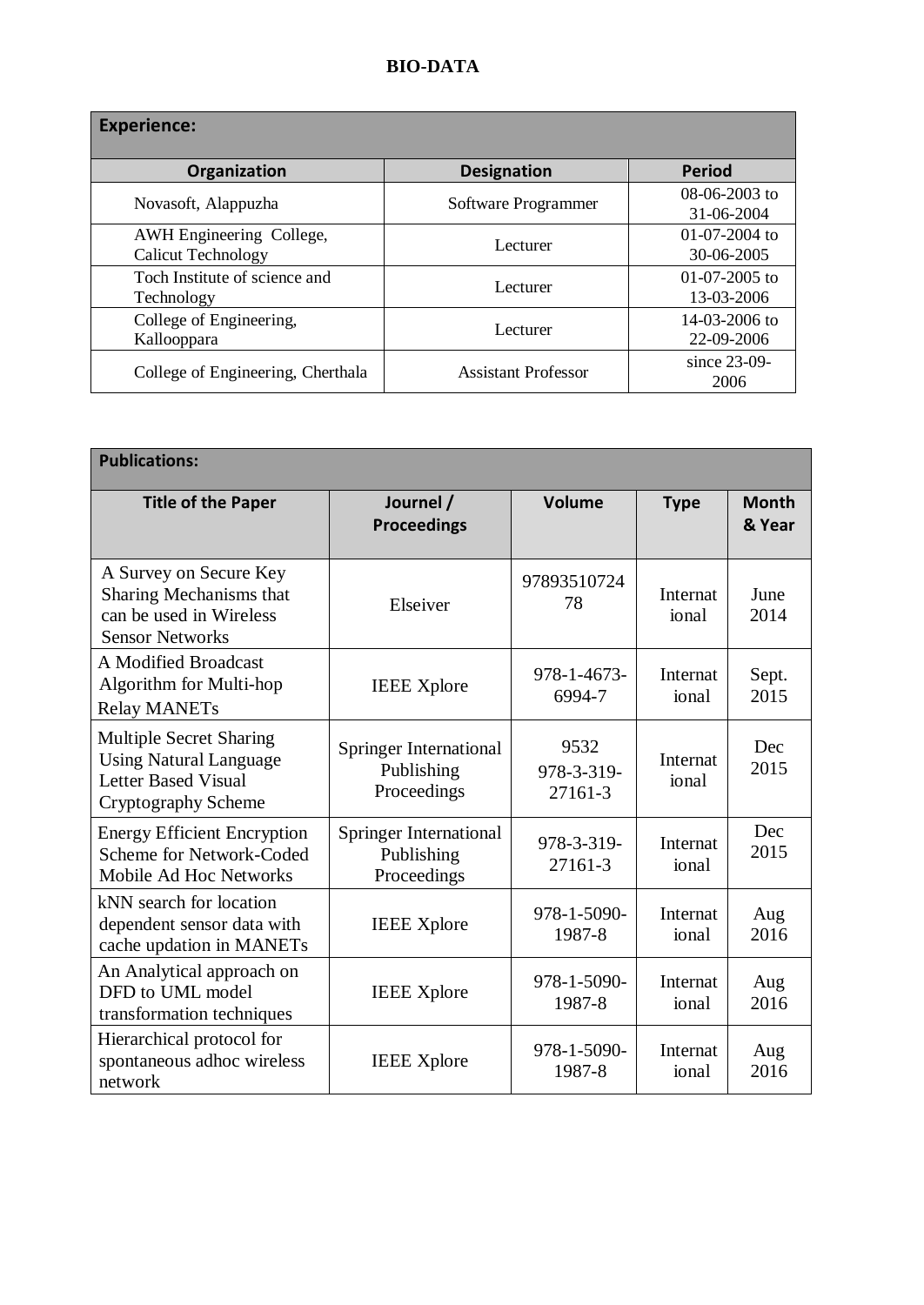## **BIO-DATA**

| <b>Experience:</b>                                    |                            |                                     |  |  |
|-------------------------------------------------------|----------------------------|-------------------------------------|--|--|
| Organization                                          | <b>Designation</b>         | <b>Period</b>                       |  |  |
| Novasoft, Alappuzha                                   | Software Programmer        | $08-06-2003$ to<br>31-06-2004       |  |  |
| AWH Engineering College,<br><b>Calicut Technology</b> | Lecturer                   | $01-07-2004$ to<br>$30 - 06 - 2005$ |  |  |
| Toch Institute of science and<br>Technology           | Lecturer                   | $01-07-2005$ to<br>13-03-2006       |  |  |
| College of Engineering,<br>Kallooppara                | Lecturer                   | 14-03-2006 to<br>22-09-2006         |  |  |
| College of Engineering, Cherthala                     | <b>Assistant Professor</b> | since 23-09-<br>2006                |  |  |

| <b>Publications:</b>                                                                                                 |                                                     |                               |                          |                        |
|----------------------------------------------------------------------------------------------------------------------|-----------------------------------------------------|-------------------------------|--------------------------|------------------------|
| <b>Title of the Paper</b>                                                                                            | Journel /<br><b>Proceedings</b>                     | Volume                        | <b>Type</b>              | <b>Month</b><br>& Year |
| A Survey on Secure Key<br>Sharing Mechanisms that<br>can be used in Wireless<br><b>Sensor Networks</b>               | Elseiver                                            | 97893510724<br>78             | Internat<br>ional        | June<br>2014           |
| A Modified Broadcast<br>Algorithm for Multi-hop<br><b>Relay MANETs</b>                                               | <b>IEEE</b> Xplore                                  | 978-1-4673-<br>6994-7         | Internat<br>ional        | Sept.<br>2015          |
| <b>Multiple Secret Sharing</b><br><b>Using Natural Language</b><br><b>Letter Based Visual</b><br>Cryptography Scheme | Springer International<br>Publishing<br>Proceedings | 9532<br>978-3-319-<br>27161-3 | <b>Internat</b><br>ional | Dec<br>2015            |
| <b>Energy Efficient Encryption</b><br>Scheme for Network-Coded<br>Mobile Ad Hoc Networks                             | Springer International<br>Publishing<br>Proceedings | 978-3-319-<br>27161-3         | Internat<br>ional        | Dec<br>2015            |
| kNN search for location<br>dependent sensor data with<br>cache updation in MANETs                                    | <b>IEEE</b> Xplore                                  | 978-1-5090-<br>1987-8         | Internat<br>ional        | Aug<br>2016            |
| An Analytical approach on<br>DFD to UML model<br>transformation techniques                                           | <b>IEEE</b> Xplore                                  | 978-1-5090-<br>1987-8         | Internat<br>ional        | Aug<br>2016            |
| Hierarchical protocol for<br>spontaneous adhoc wireless<br>network                                                   | <b>IEEE</b> Xplore                                  | 978-1-5090-<br>1987-8         | Internat<br>ional        | Aug<br>2016            |